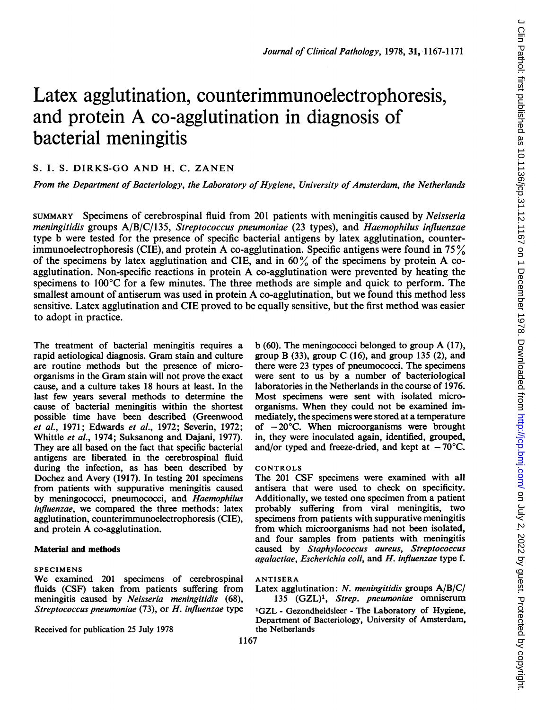# Latex agglutination, counterimmunoelectrophoresis, and protein A co-agglutination in diagnosis of bacterial meningitis

# S. I. S. DIRKS-GO AND H. C. ZANEN

From the Department of Bacteriology, the Laboratory of Hygiene, University of Amsterdam, the Netherlands

SUMMARY Specimens of cerebrospinal fluid from 201 patients with meningitis caused by Neisseria meningitidis groups A/B/C/135, Streptococcus pneumoniae (23 types), and Haemophilus influenzae type b were tested for the presence of specific bacterial antigens by latex agglutination, counterimmunoelectrophoresis (CIE), and protein A co-agglutination. Specific antigens were found in <sup>75</sup> % of the specimens by latex agglutination and CIE, and in 60% of the specimens by protein A coagglutination. Non-specific reactions in protein A co-agglutination were prevented by heating the specimens to  $100^{\circ}$ C for a few minutes. The three methods are simple and quick to perform. The smallest amount of antiserum was used in protein A co-agglutination, but we found this method less sensitive. Latex agglutination and CIE proved to be equally sensitive, but the first method was easier to adopt in practice.

The treatment of bacterial meningitis requires a rapid aetiological diagnosis. Gram stain and culture are routine methods but the presence of microorganisms in the Gram stain will not prove the exact cause, and a culture takes 18 hours at least. In the last few years several methods to determine the cause of bacterial meningitis within the shortest possible time have been described (Greenwood et al., 1971; Edwards et al., 1972; Severin, 1972; Whittle et al., 1974; Suksanong and Dajani, 1977). They are all based on the fact that specific bacterial antigens are liberated in the cerebrospinal fluid during the infection, as has been described by Dochez and Avery (1917). In testing 201 specimens from patients with suppurative meningitis caused by meningococci, pneumococci, and Haemophilus influenzae, we compared the three methods: latex agglutination, counterimmunoelectrophoresis (CIE), and protein A co-agglutination.

## Material and methods

## SPECIMENS

We examined <sup>201</sup> specimens of cerebrospinal fluids (CSF) taken from patients suffering from meningitis caused by Neisseria meningitidis (68), Streptococcus pneumoniae (73), or H. influenzae type

Received for publication 25 July 1978

b (60). The meningococci belonged to group A (17), group B (33), group C (16), and group 135 (2), and there were 23 types of pneumococci. The specimens were sent to us by a number of bacteriological laboratories in the Netherlands in the course of 1976. Most specimens were sent with isolated microorganisms. When they could not be examined immediately, the specimens were stored at a temperature of  $-20^{\circ}$ C. When microorganisms were brought in, they were inoculated again, identified, grouped, and/or typed and freeze-dried, and kept at  $-70^{\circ}$ C.

#### CONTROLS

The 201 CSF specimens were examined with all antisera that were used to check on specificity. Additionally, we tested one specimen from a patient probably suffering from viral meningitis, two specimens from patients with suppurative meningitis from which microorganisms had not been isolated, and four samples from patients with meningitis caused by Staphylococcus aureus, Streptococcus agalactiae, Escherichia coli, and H. influenzae type f.

## ANTISERA

Latex agglutination: *N. meningitidis* groups  $A/B/C/$ 135 (GZL)', Strep. pneumoniae omniserum

1GZL - Gezondheidsleer - The Laboratory of Hygiene, Department of Bacteriology, University of Amsterdam, the Netherlands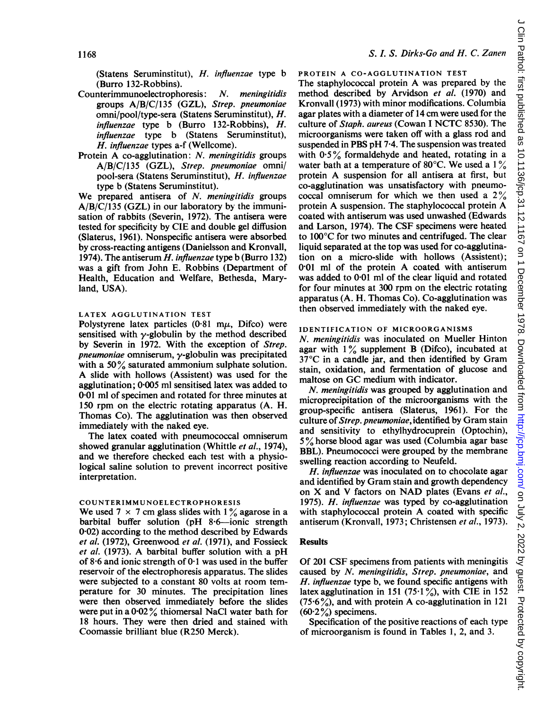(Statens Seruminstitut), H. influenzae type b (Burro 132-Robbins).

- Counterimmunoelectrophoresis: N. meningitidis groups A/B/C/135 (GZL), Strep. pneumoniae omni/pool/type-sera (Statens Seruminstitut), H. influenzae type b (Burro 132-Robbins),  $H$ . influenzae type b (Statens Seruminstitut), H. influenzae types a-f (Wellcome).
- Protein  $\overline{A}$  co-agglutination: *N. meningitidis* groups A/B/C/135 (GZL), Strep. pneumoniae omni/ pool-sera (Statens Seruminstitut), H. influenzae type b (Statens Seruminstitut).

We prepared antisera of N. meningitidis groups A/B/C/135 (GZL) in our laboratory by the immunisation of rabbits (Severin, 1972). The antisera were tested for specificity by CIE and double gel diffusion (Slaterus, 1961). Nonspecific antisera were absorbed by cross-reacting antigens (Danielsson and Kronvall, 1974). The antiserum  $H$ . influenzae type b (Burro 132) was a gift from John E. Robbins (Department of Health, Education and Welfare, Bethesda, Maryland, USA).

### LATEX AGGLUTINATION TEST

Polystyrene latex particles  $(0.81 \text{ m}\mu, \text{Difco})$  were sensitised with  $\gamma$ -globulin by the method described by Severin in 1972. With the exception of Strep.  $p$ neumoniae omniserum,  $\gamma$ -globulin was precipitated with a 50 $\frac{9}{6}$  saturated ammonium sulphate solution. A slide with hollows (Assistent) was used for the agglutination;  $0.005$  ml sensitised latex was added to 0.01 ml of specimen and rotated for three minutes at 150 rpm on the electric rotating apparatus (A. H. Thomas Co). The agglutination was then observed immediately with the naked eye.

The latex coated with pneumococcal omniserum showed granular agglutination (Whittle et al., 1974), and we therefore checked each test with a physiological saline solution to prevent incorrect positive interpretation.

## COUNTERIMMUNOELECTROPHORESIS

We used 7  $\times$  7 cm glass slides with 1% agarose in a barbital buffer solution (pH  $8.6$ -ionic strength 0 02) according to the method described by Edwards et al. (1972), Greenwood et al. (1971), and Fossieck et al. (1973). A barbital buffer solution with <sup>a</sup> pH of 8-6 and ionic strength of 0-1 was used in the buffer reservoir of the electrophoresis apparatus. The slides were subjected to a constant 80 volts at room temperature for 30 minutes. The precipitation lines were then observed immediately before the slides were put in a  $0.02\%$  thiomersal NaCl water bath for 18 hours. They were then dried and stained with Coomassie brilliant blue (R250 Merck).

### PROTEIN A CO-AGGLUTINATION TEST

The staphylococcal protein A was prepared by the method described by Arvidson et al. (1970) and Kronvall (1973) with minor modifications. Columbia agar plates with a diameter of <sup>14</sup> cm were used for the culture of Staph. aureus (Cowan <sup>I</sup> NCTC 8530). The microorganisms were taken off with a glass rod and suspended in PBS pH 7-4. The suspension was treated with  $0.5\%$  formaldehyde and heated, rotating in a water bath at a temperature of 80 $^{\circ}$ C. We used a 1 $\%$ protein A suspension for all antisera at first, but co-agglutination was unsatisfactory with pneumococcal omniserum for which we then used a  $2\%$ protein A suspension. The staphylococcal protein A coated with antiserum was used unwashed (Edwards and Larson, 1974). The CSF specimens were heated to  $100^{\circ}$ C for two minutes and centrifuged. The clear liquid separated at the top was used for co-agglutination on a micro-slide with hollows (Assistent); 0-01 ml of the protein A coated with antiserum was added to 0-01 ml of the clear liquid and rotated for four minutes at 300 rpm on the electric rotating apparatus (A. H. Thomas Co). Co-agglutination was then observed immediately with the naked eye.

#### IDENTIFICATION OF MICROORGANISMS

N. meningitidis was inoculated on Mueller Hinton agar with  $1\%$  supplement B (Difco), incubated at 37'C in a candle jar, and then identified by Gram stain, oxidation, and fermentation of glucose and maltose on GC medium with indicator.

N. meningitidis was grouped by agglutination and microprecipitation of the microorganisms with the group-specific antisera (Slaterus, 1961). For the culture of Strep. pneumoniae, identified by Gram stain and sensitivity to ethylhydrocuprein (Optochin), <sup>5</sup> % horse blood agar was used (Columbia agar base BBL). Pneumococci were grouped by the membrane swelling reaction according to Neufeld.

H. influenzae was inoculated on to chocolate agar and identified by Gram stain and growth dependency on X and V factors on NAD plates (Evans et al., 1975). H. influenzae was typed by co-agglutination with staphylococcal protein A coated with specific antiserum (Kronvall, 1973; Christensen et al., 1973).

## Results

Of 201 CSF specimens from patients with meningitis caused by N. meningitidis, Strep. pneumoniae, and H. influenzae type b, we found specific antigens with latex agglutination in 151 (75.1%), with CIE in 152 (75.6%), and with protein A co-agglutination in 121  $(60.2\%)$  specimens.

Specification of the positive reactions of each type of microorganism is found in Tables 1, 2, and 3.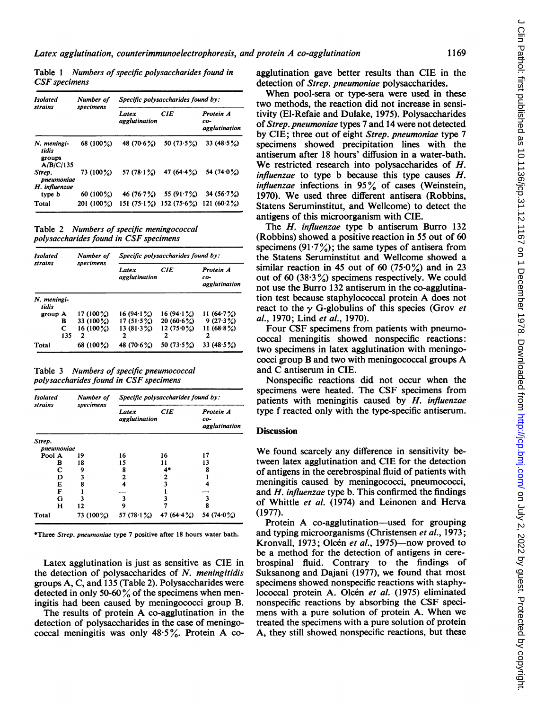Table <sup>1</sup> Numbers of specific polysaccharides found in CSF specimens

| <b>Isolated</b><br>strains                  | Number of<br>specimens | Specific polysaccharides found by: |                                     |                                   |  |
|---------------------------------------------|------------------------|------------------------------------|-------------------------------------|-----------------------------------|--|
|                                             |                        | Latex<br>agglutination             | CIE                                 | Protein A<br>co-<br>agglutination |  |
| N. meningi-<br>tidis<br>groups<br>A/B/C/135 | 68 (100 %)             | 48 (70.6%)                         | 50 $(73.5\%)$                       | 33 $(48.5\%)$                     |  |
| Strep.<br>pneumoniae                        | 73 (100 %)             | 57 $(78.1\%)$                      | 47 $(64.4\%)$                       | 54 $(74.0\%)$                     |  |
| H. influenzae                               |                        |                                    |                                     |                                   |  |
| type b                                      | 60 $(100\%)$           | 46 $(76.7%)$                       | 55 (91.7%)                          | 34 $(56.7\%)$                     |  |
| Total                                       | 201 (100 %)            |                                    | 151 (75.1%) 152 (75.6%) 121 (60.2%) |                                   |  |

Table 2 Numbers of specific meningococcal polysaccharides found in CSF specimens

| Isolated<br>strains  | Number of | Specific polysaccharides found by: |                        |              |                                   |
|----------------------|-----------|------------------------------------|------------------------|--------------|-----------------------------------|
|                      |           | specimens                          | Latex<br>agglutination | CIE          | Protein A<br>co-<br>agglutination |
| N. meningi-<br>ridis |           |                                    |                        |              |                                   |
| group A<br>в         |           | $17(100\%)$                        | 16(94.1%)              | 16(94.1%)    | 11 (64.7%)                        |
|                      |           | 33 (100 %)                         | 17(51.5%)              | 20 (60.6%)   | 9(27.3%)                          |
|                      | С         | 16 (100 %)                         | 13(81.3%)              | $12(75.0\%)$ | 11 $(68.8\%)$                     |
|                      | 135       | 2                                  | 2                      | ,            | 2                                 |
| Total                |           | 68 (100%)                          | 48 $(70.6\%)$          | $50(73.5\%)$ | 33 $(48.5%)$                      |

Table 3 Numbers of specific pneumococcal polysaccharides found in CSF specimens

| <b>Isolated</b><br>strains | Number of  | Specific polysaccharides found by: |               |                                   |  |
|----------------------------|------------|------------------------------------|---------------|-----------------------------------|--|
|                            | specimens  | Latex<br>agglutination             | <b>CIE</b>    | Protein A<br>co-<br>agglutination |  |
| Strep.                     |            |                                    |               |                                   |  |
| pneumoniae                 |            |                                    |               |                                   |  |
| Pool A                     | 19         | 16                                 | 16            | 17                                |  |
| в                          | 18         | 15                                 |               | 13                                |  |
| с                          | 9          | 8                                  | 4*            |                                   |  |
| D                          |            |                                    | 2             |                                   |  |
| Е                          | ጸ          |                                    |               |                                   |  |
| F                          |            |                                    |               |                                   |  |
| G                          |            | 3                                  |               |                                   |  |
| н                          | 12         | 9                                  |               | 8                                 |  |
| Total                      | 73 (100 %) | 57 $(78.1\%)$                      | 47 $(64.4\%)$ | 54 $(74.0\%)$                     |  |

\*Three Strep. pneumoniae type 7 positive after 18 hours water bath.

Latex agglutination is just as sensitive as CIE in the detection of polysaccharides of  $N$ . meningitidis groups A, C, and 135 (Table 2). Polysaccharides were detected in only 50-60 $\%$  of the specimens when meningitis had been caused by meningococci group B.

The results of protein A co-agglutination in the detection of polysaccharides in the case of meningococcal meningitis was only  $48.5\%$ . Protein A coagglutination gave better results than CIE in the detection of Strep. pneumoniae polysaccharides.

When pool-sera or type-sera were used in these two methods, the reaction did not increase in sensitivity (El-Refaie and Dulake, 1975). Polysaccharides of Strep. pneumoniae types 7 and 14 were not detected by CIE; three out of eight Strep. pneumoniae type 7 specimens showed precipitation lines with the antiserum after 18 hours' diffusion in a water-bath. We restricted research into polysaccharides of H. *influenzae* to type b because this type causes  $H$ . influenzae infections in  $95\%$  of cases (Weinstein, 1970). We used three different antisera (Robbins, Statens Seruminstitut, and Wellcome) to detect the antigens of this microorganism with CIE.

The  $H$ . influenzae type b antiserum Burro 132 (Robbins) showed a positive reaction in 55 out of 60 specimens  $(91.7\%)$ ; the same types of antisera from the Statens Seruminstitut and Wellcome showed a similar reaction in 45 out of 60 (75 $0\%$ ) and in 23 out of 60 (38.3%) specimens respectively. We could not use the Burro 132 antiserum in the co-agglutination test because staphylococcal protein A does not react to the  $\gamma$  G-globulins of this species (Grov *et* al., 1970; Lind et al., 1970).

Four CSF specimens from patients with pneumococcal meningitis showed nonspecific reactions: two specimens in latex agglutination with meningococci group B and two with meningococcal groups A and C antiserum in CIE.

Nonspecific reactions did not occur when the specimens were heated. The CSF specimens from patients with meningitis caused by  $H$ . influenzae type f reacted only with the type-specific antiserum.

## **Discussion**

We found scarcely any difference in sensitivity between latex agglutination and CIE for the detection of antigens in the cerebrospinal fluid of patients with meningitis caused by meningococci, pneumococci, and  $H$ . influenzae type b. This confirmed the findings of Whittle et al. (1974) and Leinonen and Herva (1977).

Protein A co-agglutination-used for grouping and typing microorganisms (Christensen et al., 1973; Kronvall, 1973; Olcén et al., 1975)-now proved to be a method for the detection of antigens in cerebrospinal fluid. Contrary to the findings of Suksanong and Dajani (1977), we found that most specimens showed nonspecific reactions with staphylococcal protein A. Olcén et al. (1975) eliminated nonspecific reactions by absorbing the CSF specimens with a pure solution of protein A. When we treated the specimens with a pure solution of protein A, they still showed nonspecific reactions, but these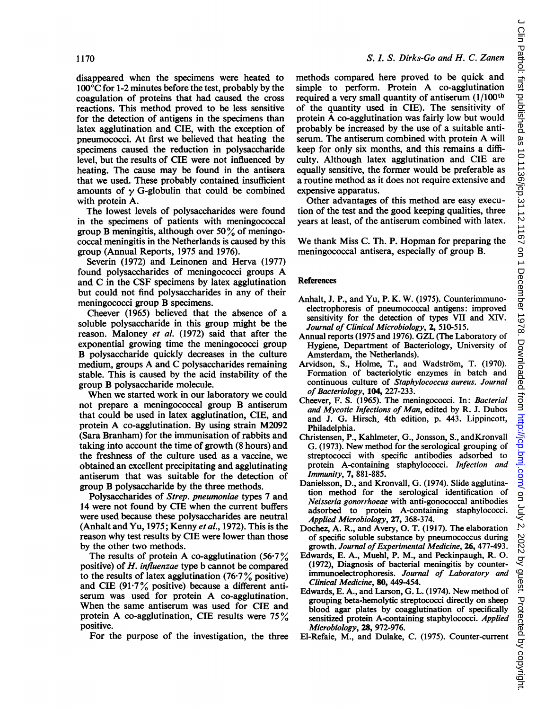disappeared when the specimens were heated to  $100^{\circ}$ C for 1-2 minutes before the test, probably by the coagulation of proteins that had caused the cross reactions. This method proved to be less sensitive for the detection of antigens in the specimens than latex agglutination and CIE, with the exception of pneumococci. At first we believed that heating the specimens caused the reduction in polysaccharide level, but the results of CIE were not influenced by heating. The cause may be found in the antisera that we used. These probably contained insufficient amounts of  $\gamma$  G-globulin that could be combined with protein A.

The lowest levels of polysaccharides were found in the specimens of patients with meningococcal group B meningitis, although over  $50\%$  of meningococcal meningitis in the Netherlands is caused by this group (Annual Reports, 1975 and 1976).

Severin (1972) and Leinonen and Herva (1977) found polysaccharides of meningococci groups A and C in the CSF specimens by latex agglutination but could not find polysaccharides in any of their meningococci group B specimens.

Cheever (1965) believed that the absence of a soluble polysaccharide in this group might be the reason. Maloney et al. (1972) said that after the exponential growing time the meningococci group B polysaccharide quickly decreases in the culture medium, groups A and C polysaccharides remaining stable. This is caused by the acid instability of the group B polysaccharide molecule.

When we started work in our laboratory we could not prepare a meningococcal group B antiserum that could be used in latex agglutination, CIE, and protein A co-agglutination. By using strain M2092 (Sara Branham) for the immunisation of rabbits and taking into account the time of growth (8 hours) and the freshness of the culture used as a vaccine, we obtained an excellent precipitating and agglutinating antiserum that was suitable for the detection of group B polysaccharide by the three methods.

Polysaccharides of Strep. pneumoniae types 7 and 14 were not found by CIE when the current buffers were used because these polysaccharides are neutral (Anhalt and Yu, 1975; Kenny et al., 1972). This is the reason why test results by CIE were lower than those by the other two methods.

The results of protein A co-agglutination  $(56.7\%)$ positive) of H. influenzae type b cannot be compared to the results of latex agglutination  $(76.7\%$  positive) and CIE  $(91.7\%$  positive) because a different antiserum was used for protein A co-agglutination. When the same antiserum was used for CIE and protein A co-agglutination, CIE results were 75% positive.

For the purpose of the investigation, the three

# 1170 S. I. S. Dirks-Go and H. C. Zanen

methods compared here proved to be quick and simple to perform. Protein A co-agglutination required a very small quantity of antiserum (1/100<sup>th</sup>) of the quantity used in CIE). The sensitivity of protein A co-agglutination was fairly low but would probably be increased by the use of a suitable antiserum. The antiserum combined with protein A will keep for only six months, and this remains a difficulty. Although latex agglutination and CIE are equally sensitive, the former would be preferable as a routine method as it does not require extensive and expensive apparatus.

Other advantages of this method are easy execution of the test and the good keeping qualities, three years at least, of the antiserum combined with latex.

We thank Miss C. Th. P. Hopman for preparing the meningococcal antisera, especially of group B.

## References

- Anhalt, J. P., and Yu, P. K. W. (1975). Counterimmunoelectrophoresis of pneumococcal antigens: improved sensitivity for the detection of types VII and XIV. Journal of Clinical Microbiology, 2, 510-515.
- Annual reports (1975 and 1976). GZL (The Laboratory of Hygiene, Department of Bacteriology, University of Amsterdam, the Netherlands).
- Arvidson, S., Holme, T., and Wadström, T. (1970). Formation of bacteriolytic enzymes in batch and continuous culture of Staphylococcus aureus. Journal of Bacteriology, 104, 227-233.
- Cheever, F. S. (1965). The meningococci. In: Bacterial and Mycotic Infections of Man, edited by R. J. Dubos and J. G. Hirsch, 4th edition, p. 443. Lippincott, Philadelphia.
- Christensen, P., Kahlmeter, G., Jonsson, S., andKronvall G. (1973). New method for the serological grouping of streptococci with specific antibodies adsorbed to protein A-containing staphylococci. Infection and Immunity, 7, 881-885.
- Danielsson, D., and Kronvall, G. (1974). Slide agglutination method for the serological identification of Neisseria gonorrhoeae with anti-gonococcal antibodies adsorbed to protein A-containing staphylococci. Applied Microbiology, 27, 368-374.
- Dochez, A. R., and Avery, 0. T. (1917). The elaboration of specific soluble substance by pneumococcus during growth. Journal of Experimental Medicine, 26, 477-493.
- Edwards, E. A., Muehl, P. M., and Peckinpaugh, R. 0. (1972), Diagnosis of bacterial meningitis by counterimmunoelectrophoresis. Journal of Laboratory and Clinical Medicine, 80, 449-454.
- Edwards, E. A., and Larson, G. L. (1974). New method of grouping beta-hemolytic streptococci directly on sheep blood agar plates by coagglutination of specifically sensitized protein A-containing staphylococci. Applied Microbiology, 28, 972-976.
- El-Refaie, M., and Dulake, C. (1975). Counter-current